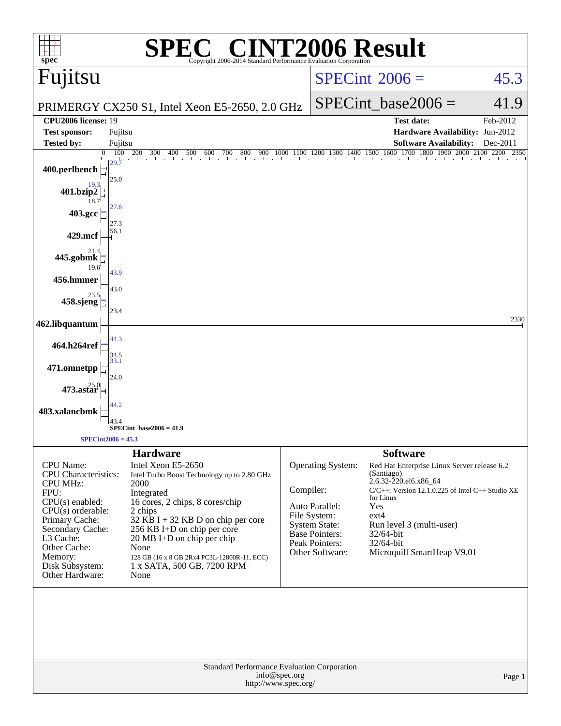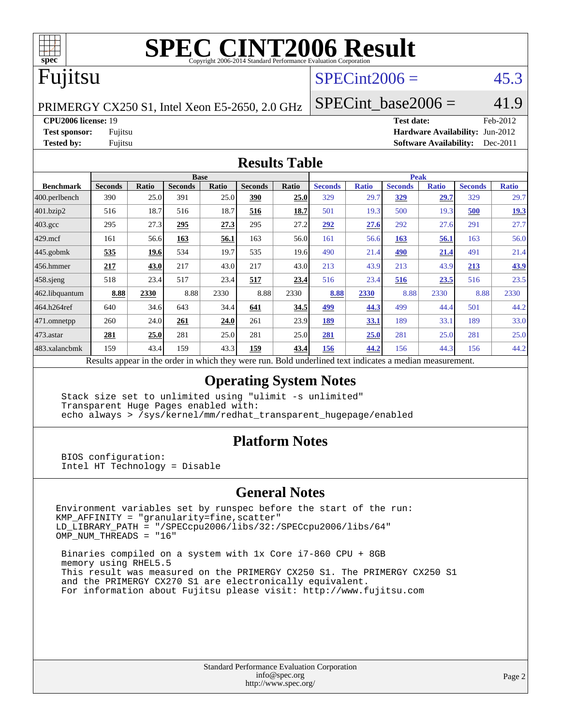

# **[SPEC CINT2006 Result](http://www.spec.org/auto/cpu2006/Docs/result-fields.html#SPECCINT2006Result)**

## Fujitsu

### $SPECint2006 =$  45.3

PRIMERGY CX250 S1, Intel Xeon E5-2650, 2.0 GHz

SPECint base2006 =  $41.9$ 

**[CPU2006 license:](http://www.spec.org/auto/cpu2006/Docs/result-fields.html#CPU2006license)** 19 **[Test date:](http://www.spec.org/auto/cpu2006/Docs/result-fields.html#Testdate)** Feb-2012

**[Test sponsor:](http://www.spec.org/auto/cpu2006/Docs/result-fields.html#Testsponsor)** Fujitsu **[Hardware Availability:](http://www.spec.org/auto/cpu2006/Docs/result-fields.html#HardwareAvailability)** Jun-2012 **[Tested by:](http://www.spec.org/auto/cpu2006/Docs/result-fields.html#Testedby)** Fujitsu **[Software Availability:](http://www.spec.org/auto/cpu2006/Docs/result-fields.html#SoftwareAvailability)** Dec-2011

#### **[Results Table](http://www.spec.org/auto/cpu2006/Docs/result-fields.html#ResultsTable)**

|                                                                                                          | <b>Base</b>    |              |                |       |                |       |                | <b>Peak</b>  |                |              |                |              |  |
|----------------------------------------------------------------------------------------------------------|----------------|--------------|----------------|-------|----------------|-------|----------------|--------------|----------------|--------------|----------------|--------------|--|
| <b>Benchmark</b>                                                                                         | <b>Seconds</b> | <b>Ratio</b> | <b>Seconds</b> | Ratio | <b>Seconds</b> | Ratio | <b>Seconds</b> | <b>Ratio</b> | <b>Seconds</b> | <b>Ratio</b> | <b>Seconds</b> | <b>Ratio</b> |  |
| $ 400.\text{perlbench}$                                                                                  | 390            | 25.0         | 391            | 25.0  | 390            | 25.0  | 329            | 29.7         | <u>329</u>     | 29.7         | 329            | 29.7         |  |
| 401.bzip2                                                                                                | 516            | 18.7         | 516            | 18.7  | 516            | 18.7  | 501            | 19.3         | 500            | 19.3         | 500            | 19.3         |  |
| $403.\text{gcc}$                                                                                         | 295            | 27.3         | 295            | 27.3  | 295            | 27.2  | 292            | 27.6         | 292            | 27.6         | 291            | 27.7         |  |
| $429$ mcf                                                                                                | 161            | 56.6         | 163            | 56.1  | 163            | 56.0  | 161            | 56.6         | 163            | 56.1         | 163            | 56.0         |  |
| $445$ .gobmk                                                                                             | 535            | 19.6         | 534            | 19.7  | 535            | 19.6  | 490            | 21.4         | 490            | 21.4         | 491            | 21.4         |  |
| $456.$ hmmer                                                                                             | 217            | 43.0         | 217            | 43.0  | 217            | 43.0  | 213            | 43.9         | 213            | 43.9         | 213            | 43.9         |  |
| $458$ .sjeng                                                                                             | 518            | 23.4         | 517            | 23.4  | 517            | 23.4  | 516            | 23.4         | 516            | <u>23.5</u>  | 516            | 23.5         |  |
| 462.libquantum                                                                                           | 8.88           | 2330         | 8.88           | 2330  | 8.88           | 2330  | 8.88           | 2330         | 8.88           | 2330         | 8.88           | 2330         |  |
| 464.h264ref                                                                                              | 640            | 34.6         | 643            | 34.4  | 641            | 34.5  | 499            | 44.3         | 499            | 44.4         | 501            | 44.2         |  |
| 471.omnetpp                                                                                              | 260            | 24.0         | 261            | 24.0  | 261            | 23.9  | 189            | 33.1         | 189            | 33.1         | 189            | 33.0         |  |
| $473.$ astar                                                                                             | 281            | 25.0         | 281            | 25.0  | 281            | 25.0  | 281            | 25.0         | 281            | 25.0         | 281            | 25.0         |  |
| 483.xalancbmk                                                                                            | 159            | 43.4         | 159            | 43.3  | 159            | 43.4  | 156            | 44.2         | 156            | 44.3         | 156            | 44.2         |  |
| Results appear in the order in which they were run. Bold underlined text indicates a median measurement. |                |              |                |       |                |       |                |              |                |              |                |              |  |

### **[Operating System Notes](http://www.spec.org/auto/cpu2006/Docs/result-fields.html#OperatingSystemNotes)**

 Stack size set to unlimited using "ulimit -s unlimited" Transparent Huge Pages enabled with: echo always > /sys/kernel/mm/redhat\_transparent\_hugepage/enabled

### **[Platform Notes](http://www.spec.org/auto/cpu2006/Docs/result-fields.html#PlatformNotes)**

 BIOS configuration: Intel HT Technology = Disable

### **[General Notes](http://www.spec.org/auto/cpu2006/Docs/result-fields.html#GeneralNotes)**

Environment variables set by runspec before the start of the run: KMP\_AFFINITY = "granularity=fine,scatter" LD\_LIBRARY\_PATH = "/SPECcpu2006/libs/32:/SPECcpu2006/libs/64" OMP\_NUM\_THREADS = "16"

 Binaries compiled on a system with 1x Core i7-860 CPU + 8GB memory using RHEL5.5 This result was measured on the PRIMERGY CX250 S1. The PRIMERGY CX250 S1 and the PRIMERGY CX270 S1 are electronically equivalent. For information about Fujitsu please visit: <http://www.fujitsu.com>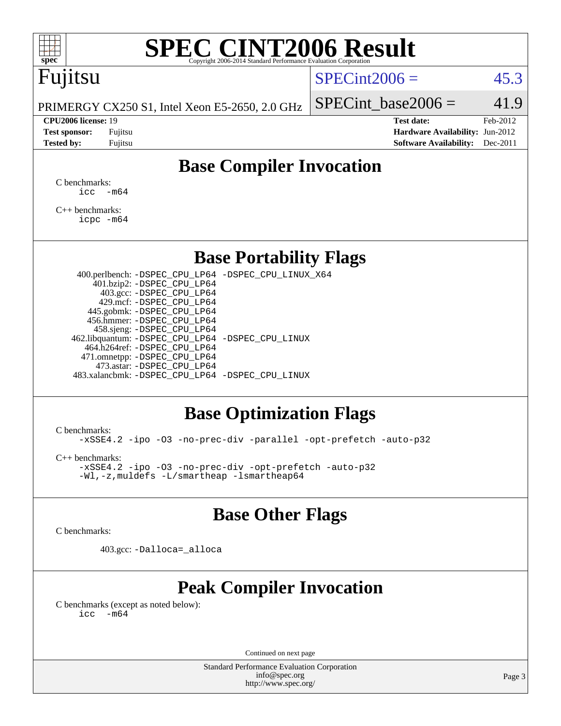# **[SPEC CINT2006 Result](http://www.spec.org/auto/cpu2006/Docs/result-fields.html#SPECCINT2006Result)**

## Fujitsu

### $SPECint2006 = 45.3$  $SPECint2006 = 45.3$

PRIMERGY CX250 S1, Intel Xeon E5-2650, 2.0 GHz

#### **[CPU2006 license:](http://www.spec.org/auto/cpu2006/Docs/result-fields.html#CPU2006license)** 19 **[Test date:](http://www.spec.org/auto/cpu2006/Docs/result-fields.html#Testdate)** Feb-2012

SPECint base2006 =  $41.9$ 

**[Test sponsor:](http://www.spec.org/auto/cpu2006/Docs/result-fields.html#Testsponsor)** Fujitsu **[Hardware Availability:](http://www.spec.org/auto/cpu2006/Docs/result-fields.html#HardwareAvailability)** Jun-2012 **[Tested by:](http://www.spec.org/auto/cpu2006/Docs/result-fields.html#Testedby)** Fujitsu **[Software Availability:](http://www.spec.org/auto/cpu2006/Docs/result-fields.html#SoftwareAvailability)** Dec-2011

### **[Base Compiler Invocation](http://www.spec.org/auto/cpu2006/Docs/result-fields.html#BaseCompilerInvocation)**

[C benchmarks](http://www.spec.org/auto/cpu2006/Docs/result-fields.html#Cbenchmarks):  $\text{icc}$   $-\text{m64}$ 

[C++ benchmarks:](http://www.spec.org/auto/cpu2006/Docs/result-fields.html#CXXbenchmarks) [icpc -m64](http://www.spec.org/cpu2006/results/res2012q3/cpu2006-20120605-22801.flags.html#user_CXXbase_intel_icpc_64bit_fc66a5337ce925472a5c54ad6a0de310)

### **[Base Portability Flags](http://www.spec.org/auto/cpu2006/Docs/result-fields.html#BasePortabilityFlags)**

 400.perlbench: [-DSPEC\\_CPU\\_LP64](http://www.spec.org/cpu2006/results/res2012q3/cpu2006-20120605-22801.flags.html#b400.perlbench_basePORTABILITY_DSPEC_CPU_LP64) [-DSPEC\\_CPU\\_LINUX\\_X64](http://www.spec.org/cpu2006/results/res2012q3/cpu2006-20120605-22801.flags.html#b400.perlbench_baseCPORTABILITY_DSPEC_CPU_LINUX_X64) 401.bzip2: [-DSPEC\\_CPU\\_LP64](http://www.spec.org/cpu2006/results/res2012q3/cpu2006-20120605-22801.flags.html#suite_basePORTABILITY401_bzip2_DSPEC_CPU_LP64) 403.gcc: [-DSPEC\\_CPU\\_LP64](http://www.spec.org/cpu2006/results/res2012q3/cpu2006-20120605-22801.flags.html#suite_basePORTABILITY403_gcc_DSPEC_CPU_LP64) 429.mcf: [-DSPEC\\_CPU\\_LP64](http://www.spec.org/cpu2006/results/res2012q3/cpu2006-20120605-22801.flags.html#suite_basePORTABILITY429_mcf_DSPEC_CPU_LP64) 445.gobmk: [-DSPEC\\_CPU\\_LP64](http://www.spec.org/cpu2006/results/res2012q3/cpu2006-20120605-22801.flags.html#suite_basePORTABILITY445_gobmk_DSPEC_CPU_LP64) 456.hmmer: [-DSPEC\\_CPU\\_LP64](http://www.spec.org/cpu2006/results/res2012q3/cpu2006-20120605-22801.flags.html#suite_basePORTABILITY456_hmmer_DSPEC_CPU_LP64) 458.sjeng: [-DSPEC\\_CPU\\_LP64](http://www.spec.org/cpu2006/results/res2012q3/cpu2006-20120605-22801.flags.html#suite_basePORTABILITY458_sjeng_DSPEC_CPU_LP64) 462.libquantum: [-DSPEC\\_CPU\\_LP64](http://www.spec.org/cpu2006/results/res2012q3/cpu2006-20120605-22801.flags.html#suite_basePORTABILITY462_libquantum_DSPEC_CPU_LP64) [-DSPEC\\_CPU\\_LINUX](http://www.spec.org/cpu2006/results/res2012q3/cpu2006-20120605-22801.flags.html#b462.libquantum_baseCPORTABILITY_DSPEC_CPU_LINUX) 464.h264ref: [-DSPEC\\_CPU\\_LP64](http://www.spec.org/cpu2006/results/res2012q3/cpu2006-20120605-22801.flags.html#suite_basePORTABILITY464_h264ref_DSPEC_CPU_LP64) 471.omnetpp: [-DSPEC\\_CPU\\_LP64](http://www.spec.org/cpu2006/results/res2012q3/cpu2006-20120605-22801.flags.html#suite_basePORTABILITY471_omnetpp_DSPEC_CPU_LP64) 473.astar: [-DSPEC\\_CPU\\_LP64](http://www.spec.org/cpu2006/results/res2012q3/cpu2006-20120605-22801.flags.html#suite_basePORTABILITY473_astar_DSPEC_CPU_LP64) 483.xalancbmk: [-DSPEC\\_CPU\\_LP64](http://www.spec.org/cpu2006/results/res2012q3/cpu2006-20120605-22801.flags.html#suite_basePORTABILITY483_xalancbmk_DSPEC_CPU_LP64) [-DSPEC\\_CPU\\_LINUX](http://www.spec.org/cpu2006/results/res2012q3/cpu2006-20120605-22801.flags.html#b483.xalancbmk_baseCXXPORTABILITY_DSPEC_CPU_LINUX)

### **[Base Optimization Flags](http://www.spec.org/auto/cpu2006/Docs/result-fields.html#BaseOptimizationFlags)**

[C benchmarks](http://www.spec.org/auto/cpu2006/Docs/result-fields.html#Cbenchmarks):

[-xSSE4.2](http://www.spec.org/cpu2006/results/res2012q3/cpu2006-20120605-22801.flags.html#user_CCbase_f-xSSE42_f91528193cf0b216347adb8b939d4107) [-ipo](http://www.spec.org/cpu2006/results/res2012q3/cpu2006-20120605-22801.flags.html#user_CCbase_f-ipo) [-O3](http://www.spec.org/cpu2006/results/res2012q3/cpu2006-20120605-22801.flags.html#user_CCbase_f-O3) [-no-prec-div](http://www.spec.org/cpu2006/results/res2012q3/cpu2006-20120605-22801.flags.html#user_CCbase_f-no-prec-div) [-parallel](http://www.spec.org/cpu2006/results/res2012q3/cpu2006-20120605-22801.flags.html#user_CCbase_f-parallel) [-opt-prefetch](http://www.spec.org/cpu2006/results/res2012q3/cpu2006-20120605-22801.flags.html#user_CCbase_f-opt-prefetch) [-auto-p32](http://www.spec.org/cpu2006/results/res2012q3/cpu2006-20120605-22801.flags.html#user_CCbase_f-auto-p32)

[C++ benchmarks:](http://www.spec.org/auto/cpu2006/Docs/result-fields.html#CXXbenchmarks)

[-xSSE4.2](http://www.spec.org/cpu2006/results/res2012q3/cpu2006-20120605-22801.flags.html#user_CXXbase_f-xSSE42_f91528193cf0b216347adb8b939d4107) [-ipo](http://www.spec.org/cpu2006/results/res2012q3/cpu2006-20120605-22801.flags.html#user_CXXbase_f-ipo) [-O3](http://www.spec.org/cpu2006/results/res2012q3/cpu2006-20120605-22801.flags.html#user_CXXbase_f-O3) [-no-prec-div](http://www.spec.org/cpu2006/results/res2012q3/cpu2006-20120605-22801.flags.html#user_CXXbase_f-no-prec-div) [-opt-prefetch](http://www.spec.org/cpu2006/results/res2012q3/cpu2006-20120605-22801.flags.html#user_CXXbase_f-opt-prefetch) [-auto-p32](http://www.spec.org/cpu2006/results/res2012q3/cpu2006-20120605-22801.flags.html#user_CXXbase_f-auto-p32) [-Wl,-z,muldefs](http://www.spec.org/cpu2006/results/res2012q3/cpu2006-20120605-22801.flags.html#user_CXXbase_link_force_multiple1_74079c344b956b9658436fd1b6dd3a8a) [-L/smartheap -lsmartheap64](http://www.spec.org/cpu2006/results/res2012q3/cpu2006-20120605-22801.flags.html#user_CXXbase_SmartHeap64_5e654037dadeae1fe403ab4b4466e60b)

### **[Base Other Flags](http://www.spec.org/auto/cpu2006/Docs/result-fields.html#BaseOtherFlags)**

[C benchmarks](http://www.spec.org/auto/cpu2006/Docs/result-fields.html#Cbenchmarks):

403.gcc: [-Dalloca=\\_alloca](http://www.spec.org/cpu2006/results/res2012q3/cpu2006-20120605-22801.flags.html#b403.gcc_baseEXTRA_CFLAGS_Dalloca_be3056838c12de2578596ca5467af7f3)

### **[Peak Compiler Invocation](http://www.spec.org/auto/cpu2006/Docs/result-fields.html#PeakCompilerInvocation)**

[C benchmarks \(except as noted below\)](http://www.spec.org/auto/cpu2006/Docs/result-fields.html#Cbenchmarksexceptasnotedbelow):  $\text{icc}$  -m64

Continued on next page

Standard Performance Evaluation Corporation [info@spec.org](mailto:info@spec.org) <http://www.spec.org/>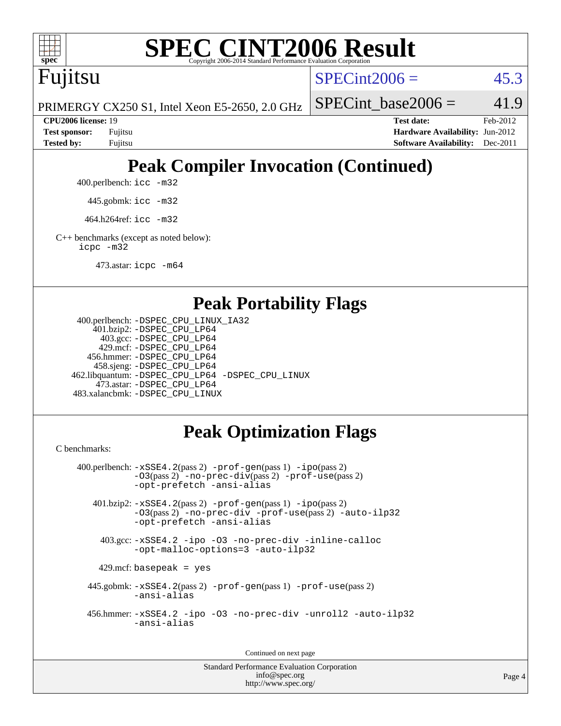

# **[SPEC CINT2006 Result](http://www.spec.org/auto/cpu2006/Docs/result-fields.html#SPECCINT2006Result)**

Fujitsu

 $SPECint2006 = 45.3$  $SPECint2006 = 45.3$ 

PRIMERGY CX250 S1, Intel Xeon E5-2650, 2.0 GHz

SPECint base2006 =  $41.9$ 

**[CPU2006 license:](http://www.spec.org/auto/cpu2006/Docs/result-fields.html#CPU2006license)** 19 **[Test date:](http://www.spec.org/auto/cpu2006/Docs/result-fields.html#Testdate)** Feb-2012 **[Test sponsor:](http://www.spec.org/auto/cpu2006/Docs/result-fields.html#Testsponsor)** Fujitsu **[Hardware Availability:](http://www.spec.org/auto/cpu2006/Docs/result-fields.html#HardwareAvailability)** Jun-2012 **[Tested by:](http://www.spec.org/auto/cpu2006/Docs/result-fields.html#Testedby)** Fujitsu **[Software Availability:](http://www.spec.org/auto/cpu2006/Docs/result-fields.html#SoftwareAvailability)** Dec-2011

## **[Peak Compiler Invocation \(Continued\)](http://www.spec.org/auto/cpu2006/Docs/result-fields.html#PeakCompilerInvocation)**

400.perlbench: [icc -m32](http://www.spec.org/cpu2006/results/res2012q3/cpu2006-20120605-22801.flags.html#user_peakCCLD400_perlbench_intel_icc_a6a621f8d50482236b970c6ac5f55f93)

445.gobmk: [icc -m32](http://www.spec.org/cpu2006/results/res2012q3/cpu2006-20120605-22801.flags.html#user_peakCCLD445_gobmk_intel_icc_a6a621f8d50482236b970c6ac5f55f93)

464.h264ref: [icc -m32](http://www.spec.org/cpu2006/results/res2012q3/cpu2006-20120605-22801.flags.html#user_peakCCLD464_h264ref_intel_icc_a6a621f8d50482236b970c6ac5f55f93)

[C++ benchmarks \(except as noted below\):](http://www.spec.org/auto/cpu2006/Docs/result-fields.html#CXXbenchmarksexceptasnotedbelow) [icpc -m32](http://www.spec.org/cpu2006/results/res2012q3/cpu2006-20120605-22801.flags.html#user_CXXpeak_intel_icpc_4e5a5ef1a53fd332b3c49e69c3330699)

473.astar: [icpc -m64](http://www.spec.org/cpu2006/results/res2012q3/cpu2006-20120605-22801.flags.html#user_peakCXXLD473_astar_intel_icpc_64bit_fc66a5337ce925472a5c54ad6a0de310)

### **[Peak Portability Flags](http://www.spec.org/auto/cpu2006/Docs/result-fields.html#PeakPortabilityFlags)**

```
 400.perlbench: -DSPEC_CPU_LINUX_IA32
    401.bzip2: -DSPEC_CPU_LP64
      403.gcc: -DSPEC_CPU_LP64
     429.mcf: -DSPEC_CPU_LP64
   456.hmmer: -DSPEC_CPU_LP64
    458.sjeng: -DSPEC_CPU_LP64
462.libquantum: -DSPEC_CPU_LP64 -DSPEC_CPU_LINUX
     473.astar: -DSPEC_CPU_LP64
483.xalancbmk: -DSPEC_CPU_LINUX
```
### **[Peak Optimization Flags](http://www.spec.org/auto/cpu2006/Docs/result-fields.html#PeakOptimizationFlags)**

[C benchmarks](http://www.spec.org/auto/cpu2006/Docs/result-fields.html#Cbenchmarks):

```
 400.perlbench: -xSSE4.2(pass 2) -prof-gen(pass 1) -ipo(pass 2)
           -O3(pass 2) -no-prec-div(pass 2) -prof-use(pass 2)
          -opt-prefetch -ansi-alias
   401.bzip2: -xSSE4.2(pass 2) -prof-gen(pass 1) -ipo(pass 2)
           -O3(pass 2) -no-prec-div -prof-use(pass 2) -auto-ilp32
           -opt-prefetch -ansi-alias
    403.gcc: -xSSE4.2 -ipo -O3 -no-prec-div -inline-calloc
           -opt-malloc-options=3 -auto-ilp32
   429.mcf: basepeak = yes
  445.gobmk: -xSSE4.2(pass 2) -prof-gen(pass 1) -prof-use(pass 2)
           -ansi-alias
  456.hmmer: -xSSE4.2 -ipo -O3 -no-prec-div -unroll2 -auto-ilp32
           -ansi-alias
```
Continued on next page

Standard Performance Evaluation Corporation [info@spec.org](mailto:info@spec.org) <http://www.spec.org/>